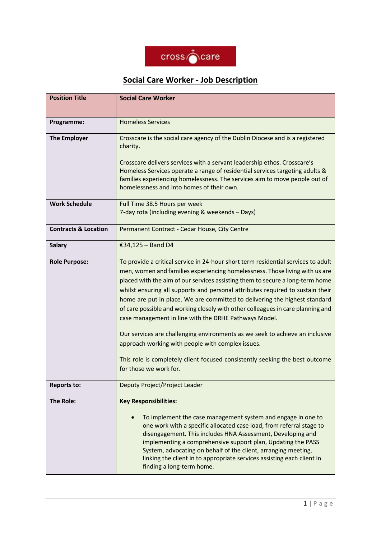

## **Social Care Worker - Job Description**

| <b>Position Title</b>           | <b>Social Care Worker</b>                                                                                                                                                                                                                                                                                                                                                                                                                                                                                                                                                                                                                                                                                                                                                                                    |  |
|---------------------------------|--------------------------------------------------------------------------------------------------------------------------------------------------------------------------------------------------------------------------------------------------------------------------------------------------------------------------------------------------------------------------------------------------------------------------------------------------------------------------------------------------------------------------------------------------------------------------------------------------------------------------------------------------------------------------------------------------------------------------------------------------------------------------------------------------------------|--|
|                                 |                                                                                                                                                                                                                                                                                                                                                                                                                                                                                                                                                                                                                                                                                                                                                                                                              |  |
| Programme:                      | <b>Homeless Services</b>                                                                                                                                                                                                                                                                                                                                                                                                                                                                                                                                                                                                                                                                                                                                                                                     |  |
| <b>The Employer</b>             | Crosscare is the social care agency of the Dublin Diocese and is a registered<br>charity.                                                                                                                                                                                                                                                                                                                                                                                                                                                                                                                                                                                                                                                                                                                    |  |
|                                 | Crosscare delivers services with a servant leadership ethos. Crosscare's<br>Homeless Services operate a range of residential services targeting adults &<br>families experiencing homelessness. The services aim to move people out of<br>homelessness and into homes of their own.                                                                                                                                                                                                                                                                                                                                                                                                                                                                                                                          |  |
| <b>Work Schedule</b>            | Full Time 38.5 Hours per week<br>7-day rota (including evening & weekends - Days)                                                                                                                                                                                                                                                                                                                                                                                                                                                                                                                                                                                                                                                                                                                            |  |
| <b>Contracts &amp; Location</b> | Permanent Contract - Cedar House, City Centre                                                                                                                                                                                                                                                                                                                                                                                                                                                                                                                                                                                                                                                                                                                                                                |  |
| <b>Salary</b>                   | €34,125 - Band D4                                                                                                                                                                                                                                                                                                                                                                                                                                                                                                                                                                                                                                                                                                                                                                                            |  |
| <b>Role Purpose:</b>            | To provide a critical service in 24-hour short term residential services to adult<br>men, women and families experiencing homelessness. Those living with us are<br>placed with the aim of our services assisting them to secure a long-term home<br>whilst ensuring all supports and personal attributes required to sustain their<br>home are put in place. We are committed to delivering the highest standard<br>of care possible and working closely with other colleagues in care planning and<br>case management in line with the DRHE Pathways Model.<br>Our services are challenging environments as we seek to achieve an inclusive<br>approach working with people with complex issues.<br>This role is completely client focused consistently seeking the best outcome<br>for those we work for. |  |
| <b>Reports to:</b>              | Deputy Project/Project Leader                                                                                                                                                                                                                                                                                                                                                                                                                                                                                                                                                                                                                                                                                                                                                                                |  |
| <b>The Role:</b>                | <b>Key Responsibilities:</b><br>To implement the case management system and engage in one to<br>$\bullet$<br>one work with a specific allocated case load, from referral stage to<br>disengagement. This includes HNA Assessment, Developing and<br>implementing a comprehensive support plan, Updating the PASS<br>System, advocating on behalf of the client, arranging meeting,<br>linking the client in to appropriate services assisting each client in<br>finding a long-term home.                                                                                                                                                                                                                                                                                                                    |  |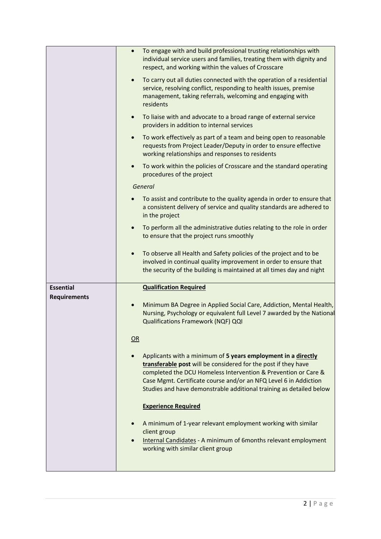|                                         | To engage with and build professional trusting relationships with<br>$\bullet$<br>individual service users and families, treating them with dignity and<br>respect, and working within the values of Crosscare<br>To carry out all duties connected with the operation of a residential<br>service, resolving conflict, responding to health issues, premise<br>management, taking referrals, welcoming and engaging with<br>residents<br>To liaise with and advocate to a broad range of external service<br>$\bullet$<br>providers in addition to internal services<br>To work effectively as part of a team and being open to reasonable<br>$\bullet$<br>requests from Project Leader/Deputy in order to ensure effective<br>working relationships and responses to residents                                    |
|-----------------------------------------|---------------------------------------------------------------------------------------------------------------------------------------------------------------------------------------------------------------------------------------------------------------------------------------------------------------------------------------------------------------------------------------------------------------------------------------------------------------------------------------------------------------------------------------------------------------------------------------------------------------------------------------------------------------------------------------------------------------------------------------------------------------------------------------------------------------------|
|                                         | To work within the policies of Crosscare and the standard operating<br>$\bullet$<br>procedures of the project<br>General<br>To assist and contribute to the quality agenda in order to ensure that<br>$\bullet$<br>a consistent delivery of service and quality standards are adhered to<br>in the project<br>To perform all the administrative duties relating to the role in order<br>$\bullet$<br>to ensure that the project runs smoothly<br>To observe all Health and Safety policies of the project and to be<br>$\bullet$<br>involved in continual quality improvement in order to ensure that<br>the security of the building is maintained at all times day and night                                                                                                                                      |
| <b>Essential</b><br><b>Requirements</b> | <b>Qualification Required</b><br>Minimum BA Degree in Applied Social Care, Addiction, Mental Health,<br>$\bullet$<br>Nursing, Psychology or equivalent full Level 7 awarded by the National<br>Qualifications Framework (NQF) QQI<br>OR<br>Applicants with a minimum of 5 years employment in a directly<br>transferable post will be considered for the post if they have<br>completed the DCU Homeless Intervention & Prevention or Care &<br>Case Mgmt. Certificate course and/or an NFQ Level 6 in Addiction<br>Studies and have demonstrable additional training as detailed below<br><b>Experience Required</b><br>A minimum of 1-year relevant employment working with similar<br>client group<br><b>Internal Candidates - A minimum of 6months relevant employment</b><br>working with similar client group |